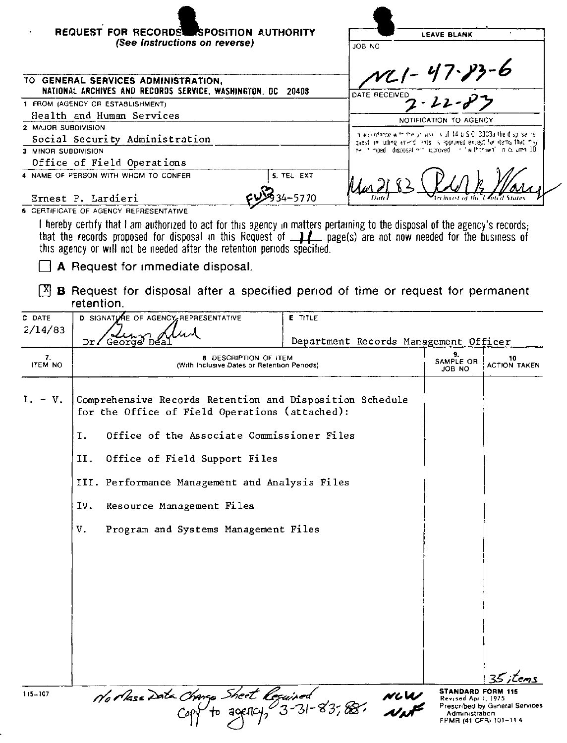| REQUEST FOR RECORDS SPOSITION AUTHORITY<br>(See Instructions on reverse)                     |            | <b>LEAVE BLANK</b><br>JOB NO                                                                                                                                                                                                                      |  |  |
|----------------------------------------------------------------------------------------------|------------|---------------------------------------------------------------------------------------------------------------------------------------------------------------------------------------------------------------------------------------------------|--|--|
| TO GENERAL SERVICES ADMINISTRATION.<br>NATIONAL ARCHIVES AND RECORDS SERVICE, WASHINGTON, DC | 20408      | $11 - 47 - 83 - 6$<br>DATE RECEIVED                                                                                                                                                                                                               |  |  |
| 1 FROM (AGENCY OR ESTABLISHMENT)                                                             |            | $22 - 23$                                                                                                                                                                                                                                         |  |  |
| Health and Human Services                                                                    |            | NOTIFICATION TO AGENCY                                                                                                                                                                                                                            |  |  |
| 2 MAJOR SUBDIVISION                                                                          |            | maco intercellent the provider is of 44 p.S.C. 3303a the displisating                                                                                                                                                                             |  |  |
| Social Security Administration                                                               |            | quest in uding amond lents. Is approved except for items that may                                                                                                                                                                                 |  |  |
| 3 MINOR SUBDIVISION                                                                          |            | ne in mpedil disposal mot leproved i in lwithdrawn' in celumn 10                                                                                                                                                                                  |  |  |
| Office of Field Operations                                                                   |            |                                                                                                                                                                                                                                                   |  |  |
| 4 NAME OF PERSON WITH WHOM TO CONFER                                                         | 5. TEL EXT |                                                                                                                                                                                                                                                   |  |  |
| Ernest P. Lardieri                                                                           | $4 - 5770$ |                                                                                                                                                                                                                                                   |  |  |
| 6 CERTIFICATE OF AGENCY REPRESENTATIVE                                                       |            |                                                                                                                                                                                                                                                   |  |  |
| this agency or will not be needed after the retention periods specified.                     |            | I hereby certify that I am authorized to act for this agency in matters pertaining to the disposal of the agency's records;<br>that the records proposed for disposal in this Request of <b>14</b> page(s) are not now needed for the business of |  |  |
| A Request for immediate disposal.                                                            |            |                                                                                                                                                                                                                                                   |  |  |

 $[X]$  **B** Request for disposal after a specified period of time or request for permanent retention.

| C DATE<br>2/14/83    | D SIGNATIVE OF AGENCY REPRESENTATIVE<br>George Des<br>Dr                                                                                                                                                                                                                                                                                   | E TITLE<br>Department Records Management Officer |                                                                                           |                                |  |
|----------------------|--------------------------------------------------------------------------------------------------------------------------------------------------------------------------------------------------------------------------------------------------------------------------------------------------------------------------------------------|--------------------------------------------------|-------------------------------------------------------------------------------------------|--------------------------------|--|
| 7.<br><b>ITEM NO</b> | 8 DESCRIPTION OF ITEM<br>(With Inclusive Dates or Retention Periods)                                                                                                                                                                                                                                                                       |                                                  | 9.<br>SAMPLE OR<br><b>JOB NO</b>                                                          | 10<br><b>ACTION TAKEN</b>      |  |
| $I. - V.$            | Comprehensive Records Retention and Disposition Schedule<br>for the Office of Field Operations (attached):<br>Office of the Associate Commissioner Files<br>I.<br>II.<br>Office of Field Support Files<br>III. Performance Management and Analysis Files<br>Resource Management Files<br>IV.<br>Program and Systems Management Files<br>v. |                                                  |                                                                                           | $25$ items                     |  |
| 115-107              | Northese Data Change Short Required<br>Copy to agency, 3-31-83,88.                                                                                                                                                                                                                                                                         | NLW<br>LIME                                      | <b>STANDARD FORM 115</b><br>Revised April 1975<br>Administration<br>FPMR (41 CFR) 101-114 | Prescribed by General Services |  |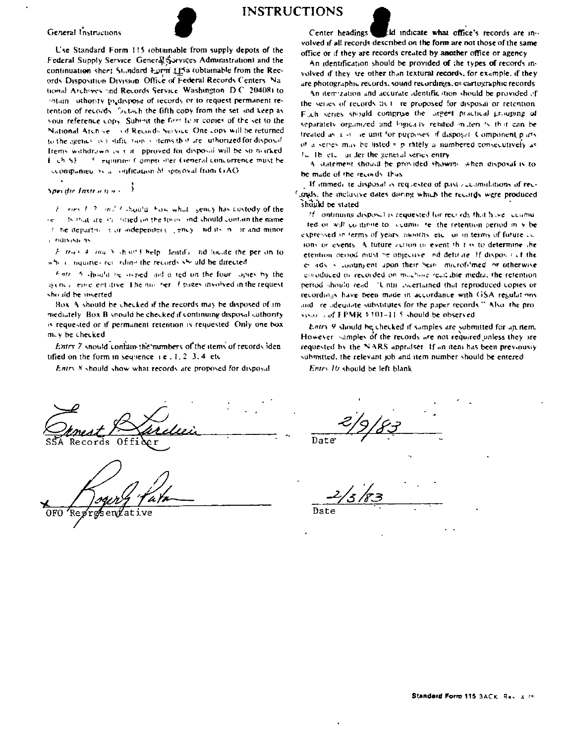#### General Instructions



**INSTRUCTIONS** 



Specific Instructions

 $E = \cos(1/2)$  and  $\cos(1/2)$  from what sency has custedy of the desired are in interest on the force and should contain the name or. t he department or independent, ency and its in or and minor s indreasts as

Fitness 4, and 5, should belp dentify, ad locate the per on to where inquiries retarding the records she ald be directed

Fintri 5 should be ovined and a ted on the four lapies by the agency, early entative. The noir ref. I pages involved in the request should be inserted

Box. A should be checked if the records may be disposed of immediately. Box B snould be checked if continuing disposal authority is requested or if permanent retention is requested. Only one box may be checked.

Entry 7 should contain the numbers of the items of records iden tified on the form in sequence  $x = 1, 1, 2, 3, 4$  etc.

Entry 8 should show what records are proposed for disposal

d indicate what office's records are in--Center headings volved if all records described on the form are not those of the same office or if they are records created by another office or agency.

An identification should be provided of the types of records involved if they are other than textural records, for example, if they are photographic records, sound recordings, or cartographic records

An item zation and accurate identification should be provided of the series of records that ire proposed for disposal or retention. Fuch series should comprise the largest practical grouping of separately organized and logically related muteri is that can be treated as a structure unit for purposes of disposal. Component parts of a senes may be listed s p rately a numbered consecutively as In The etc. in der the general series entry

A statement should be provided showing when disposal is to be made of the records. thus

If immediate disposal is requested of past accountations of recloads, the inclusive dates during which the records were produced should be stated

If continuing disposal is requested for recrieds that have accumured or will continue to location to the retention period in y be expressed in terms of years, months, etc., or in terms of future as ions or events. A future action of event that is to determine the etention beyon must be objective, and definite. If dispositive the e ads is contingent upon their bein, microfilmed or otherwise emoduced in recorded on modified readable media, the retention period should read. "Until iscertained that reproduced copies or recordings have been made in accordance with GSA resulations. and ire adequate substitutes for the paper records." Also, the provisar s of FPMR \$301-11.5 should be observed.

Entry 9 should be checked if samples are submitted for an item. However samples of the records are not required unless they are requested by the NARS appraiser. If an item has been previously submitted, the relevant job and item number should be entered

Entry 16 should be left blank

Records

Date

Date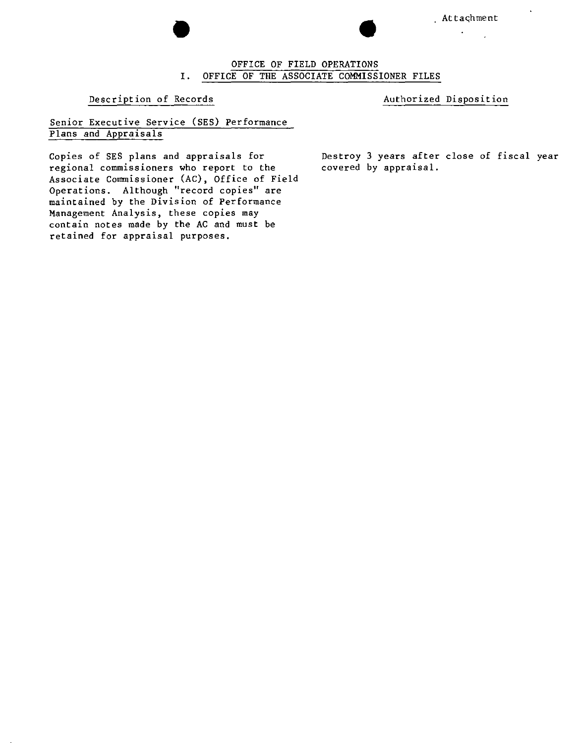

# Attachment . Attachment I. OFFICE OF THE ASSOCIATE COMMISSIONER FILES OFFICE OF FIELD OPERATIONS

#### Description of Records **Authorized Disposition**

#### Senior Executive Service (SES) Performanc Plans and Appraisals

Copies of SES plans and appraisals for **regional commissioners who report to the** Associate Commissioner (AC), Office of Field Ope <sup>r</sup> <sup>a</sup> t **ions. Although "record copies" are** maintained by the Division of Performance Management Analysis, these copies may contain notes made by the AC and must be retained for appraisal purposes.

Destroy 3 years after close of fiscal yearcovered by appraisal.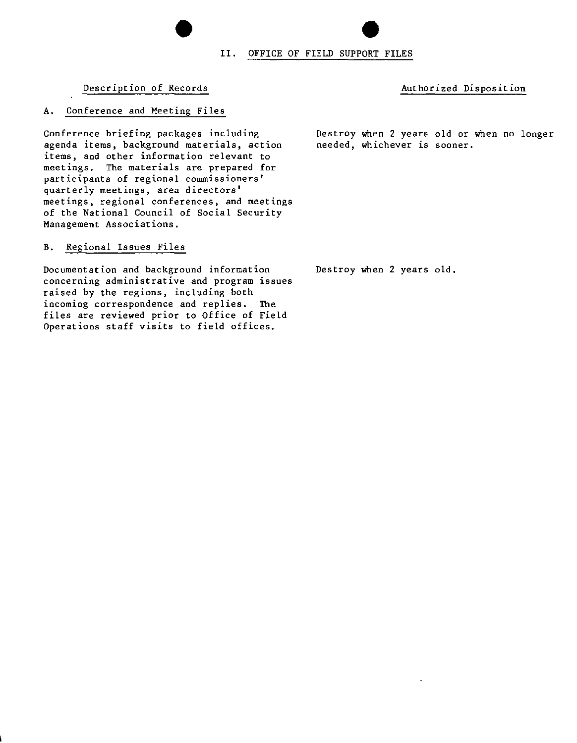# II. OFFICE OF FIELD SUPPORT FILES

#### Description of Records and Authorized Disposition

#### A. Conference and Meeting Files

Conference briefing packages including **agenda items, background materials, action items, and other information relevant to** meetings. The materials are prepared for **participants of regional commissioners' quarterly meetings, area directors' meetings, regional conferences, and meetings** of the National Council of Social Security **Management Associations.**

•

#### B. Regional Issues Files

**Documentation and background information concerning administrative and program issues** raised by the regions, including both **incoming correspondence and replies. The** files are reviewed prior to Office of Field Operations staff visits to field offices.

Destroy when 2 years old or when no longer **needed, whichever is sooner.**

Destroy when 2 years old.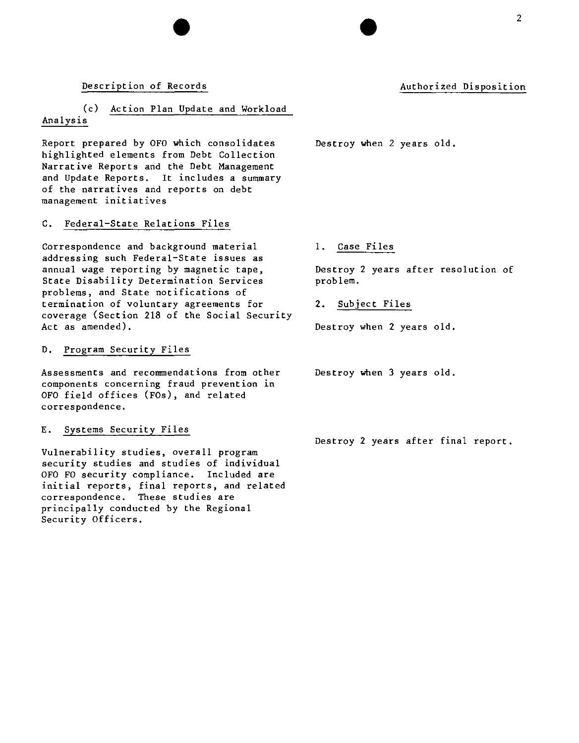#### Description of Records

#### Authorized Disposition

#### (c) Action Plan Update and Workload Analysis

Report prepared by OFO which consolidates highlighted elements from Debt Collection Narrative Reports and the Debt Management and Update Reports. It includes a summary of the narratives and reports on debt **management initiatives**

#### C. Federal-State Relations Files

Correspondence and background material addressing such Federal-State issues as annual wage reporting by magnetic tape, **State Disability Determination Services** problems, and State notifications of **termination of voluntary agreements for** coverage (Section 218 of the Social Security Act as amended).

#### D. Program Security Files

**Assessments and recommendations from other components concerning fraud prevention in** OFO field offices (FOs), and related **correspondence.**

#### E. Systems Security Files

**Vulnerability studies, overall program security studies and studies of individual** OFO FO security compliance. Included are **initial reports, final reports, and related correspondence. These studies are** principally conducted by the Regional Security Officers.

Destroy when 2 years old.

1. Case Files

Destroy 2 years after resolution of problem.

2. Subject Files

Destroy when 2 years old.

Destroy when 3 years old.

Destroy 2 years after final report.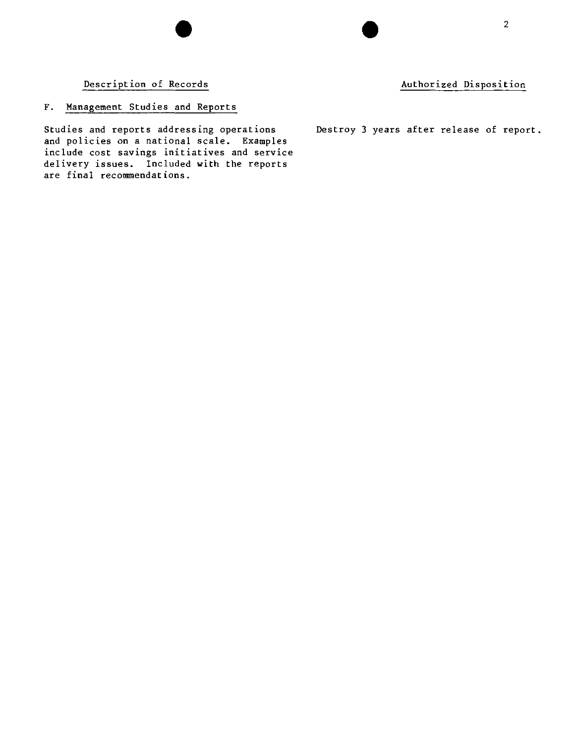Description of Records **Authorized Disposition**

## F. Management Studies and Reports

**Studies and reports addressing operations** Destroy 3 years after release of report. and policies on a national scale. Examples **include cost savings initiatives and service** delivery issues. Included with the reports **are final recommendations.**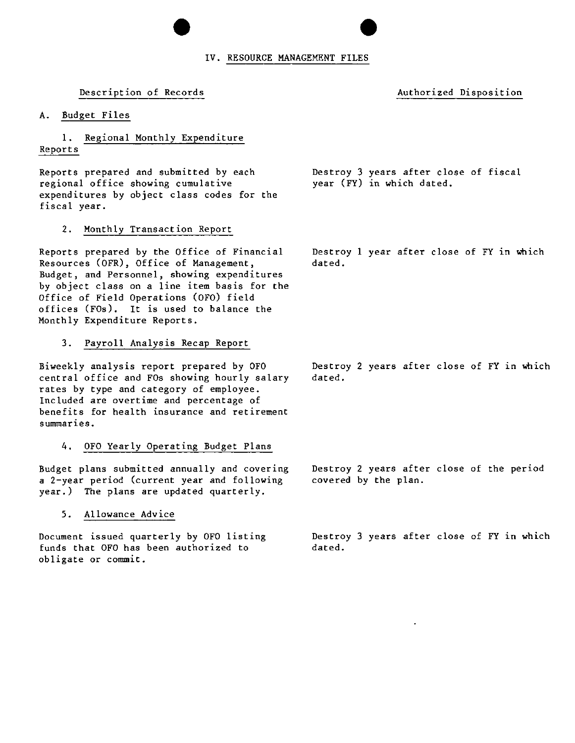## $\bullet$ IV. RESOURCE MANAGEMENT FILES  $\bullet$ <br> $\frac{25}{10}$

#### Description of Records **Authorized Disposition**

A. Budget Files

#### 1. Regional Monthly Expenditure Reports

Reports prepared and submitted by each **regional office showing cumulative** expenditures by object class codes for the fiscal year.

2. Monthly Transaction Report

Resources (OFR), Office of Management, dated. **Budget, and Personnel, showing expenditures** by object class on a line item basis for the Office of Field Operations (OFO) field offices (FOs). It is used to balance the Monthly Expenditure Reports.

#### 3. Payroll Analysis Recap Report

Biweekly analysis report prepared by OFO Destroy 2 years after close of FY 1n Which central office and FOs showing hourly salary rates by type and category of employee. Included are overtime and percentage of **benefits for health insurance and retirement summar1es.**

#### 4. OFO Yearly Operating Budget Plans

Budget plans submitted annually and covering a 2-year period (current year and following covered by the plan. year.) The plans are updated quarterly.

#### 5. Allowance Advice

funds that OFO has been authorized to obligate or commit.

Reports prepared by the Office of Financial Destroy 1 year after close of FY 1n Which

Destroy 3 years after close of fiscal

year (FY) in which dated.

dated.

Destroy 2 years after close of the period

Document issued quarterly by OFO listing Destroy 3 years after close of FY in which dated.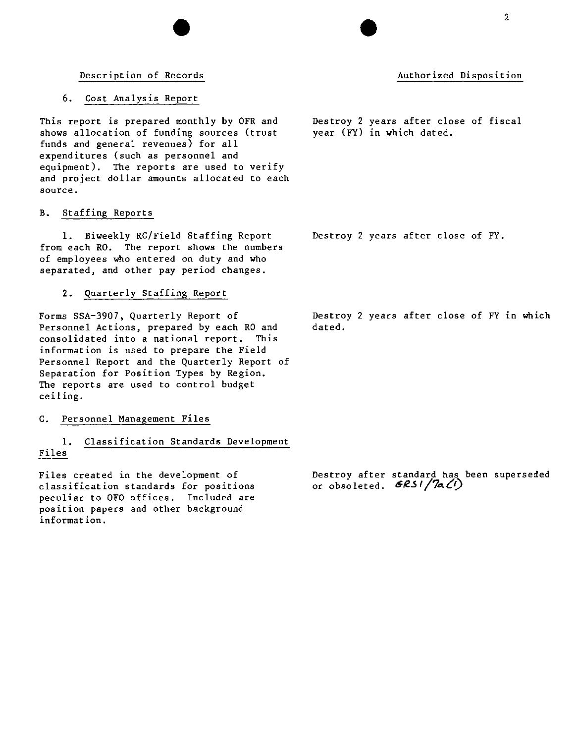#### Description of Records

#### 6. Cost Analysis Report

This report is prepared monthly by OFR and shows allocation of funding sources (trust funds and general revenues) for all expenditures (such as personnel and equipment). The reports are used to verify and project dollar amounts allocated to each **source.**

#### B. Staffing Reports

1. Biweekly RC/Field Staffing Report from each RO. The report shows the numbers of employees who entered on duty and who separated, and other pay period changes.

#### 2. Quarterly Staffing Report

Forms SSA-3907, Quarterly Report of Personnel Actions, prepared by each RO and **consolidated into a national report. This** information is used to prepare the Field Personnel Report and the Quarterly Report of Separation for position Types by Region. The reports are used to control budget ceiling.

#### C. Personnel Management Files

#### 1. Classification Standards Development Files

Files created in the development of **classification standards for positions** peculiar to OFO offices. Included are position papers and other background **information.**

Destroy 2 years after close of FY in which dated.

Destroy after standard has been superseded or obsoleted. **6251/7a(1)** 

Destroy 2 years after close of fiscal year (FY) in which dated.

Destroy 2 years after close of FY.

## Authorized Disposition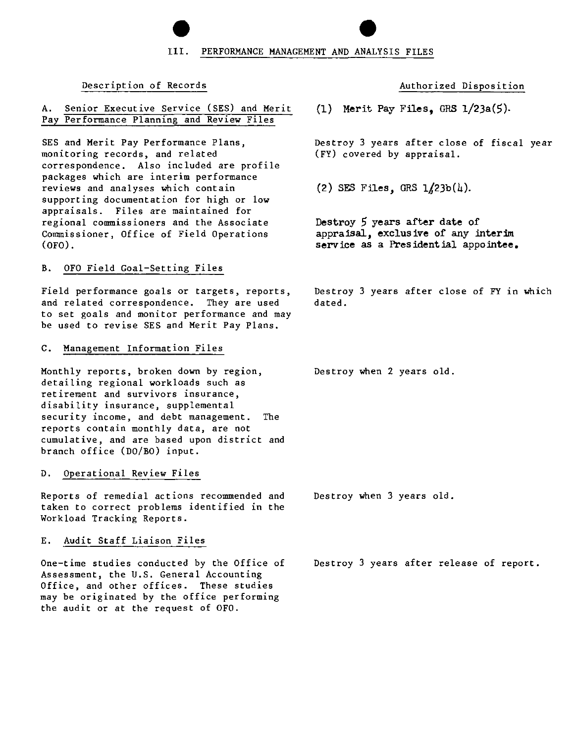Ill.  $\bullet$ <br> $\mathbf{u}$ . PERFORMANCE MANAGEMENT AND ANALYSIS FILES

#### Description of Records

#### A. Senior Executive Service (SES) and Merit Pay Performance Planning and Review Files

SES and Merit Pay Performance Plans, **monitoring records, and related** correspondence. Also included are profile **packages which are interim performance reviews and analyses which contain** supporting documentation for high or low appraisals. Files are maintained for **regional commissioners and the Associate** Commissioner, Office of Field Operations (OFO) .

#### B. OFO Field Goal-Setting Files

**Field performance goals or targets, reports,** and related correspondence. They are used **to set goals and monitor performance and may** be used to revise SES and Merit Pay Plans.

#### C. Management Information Files

Monthly reports, broken down by region, detailing regional workloads such as **retirement and survivors insurance,** disability insurance, supplemental **security income, and debt management. The reports contain monthly data, are not cumulative, and are based upon district and** branch office (DO/BO) input.

#### D. Operational Review Files

**Reports of remedial actions recommended and taken to correct problems identified 10 the** Workload Tracking Reports.

#### E. Audit Staff Liaison Files

One-time studies conducted by the Office of Assessment, the U.S. General Accounting Office, and other offices. These studies may be originated by the office performing the audit or at the request of OFO.

**Authorized Disposition**

(1) Merit Pay Files. GRS  $1/23a(5)$ .

Destroy 3 years after close of fiscal year (FY) covered by appraisal.

(2) SES Files, GRS  $1/23b(4)$ .

Destroy 5 years after date of appraisal, exclusive of any **interim** service as a Presidential appointee.

Destroy 3 years after close of FY in which dated.

Destroy when 2 years old.

Destroy when 3 years old.

Destroy 3 years after release of report.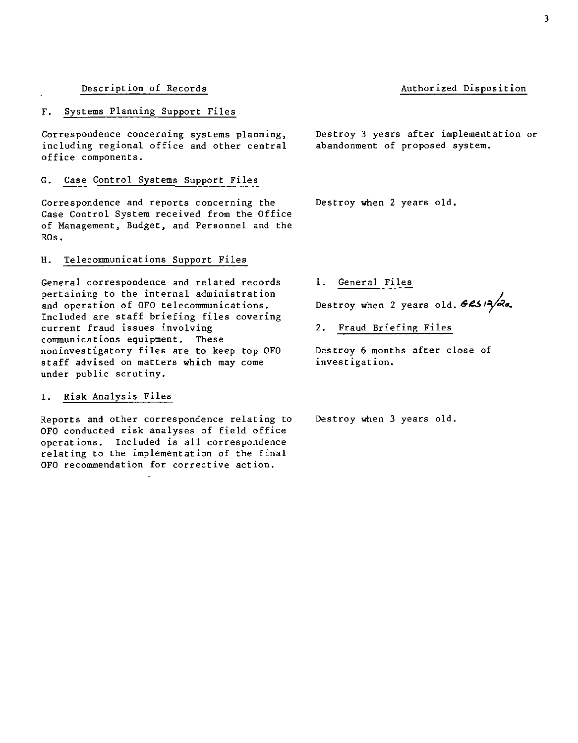#### Description of Records

#### F. Systems Planning Support Files

**Correspondence concerning systems planning,** including regional office and other central office components.

#### G. Case Control Systems Support Files

**Correspondence and reports concerning the** Case Control System received from the Office of Management, Budget, and Personnel and the ROs.

#### **H.** Telecommunications Support Files

**General correspondence and related records pertaining to the internal administration and operation of OFO telecommunications.** Included are staff briefing files covering **current fraud issues involving communications equipment. These** non investigatory files are to keep top OFO staff advised on matters which may come under public scrutiny.

#### I. Risk Analysis Files

**Reports and other correspondence relating to** OFO conducted risk analyses of field office operations. Included is all correspondence relating to the implementation of the final **OFO recommendation for corrective action.**

Destroy 3 years after implementation or abandonment of proposed system.

Destroy when 2 years old.

**1.** General Files

Destroy when 2 years old.  $62/2$ 

2. Fraud Briefing Files

Destroy 6 months after close of **investigation.**

Destroy when 3 years old.

## Authorized Disposition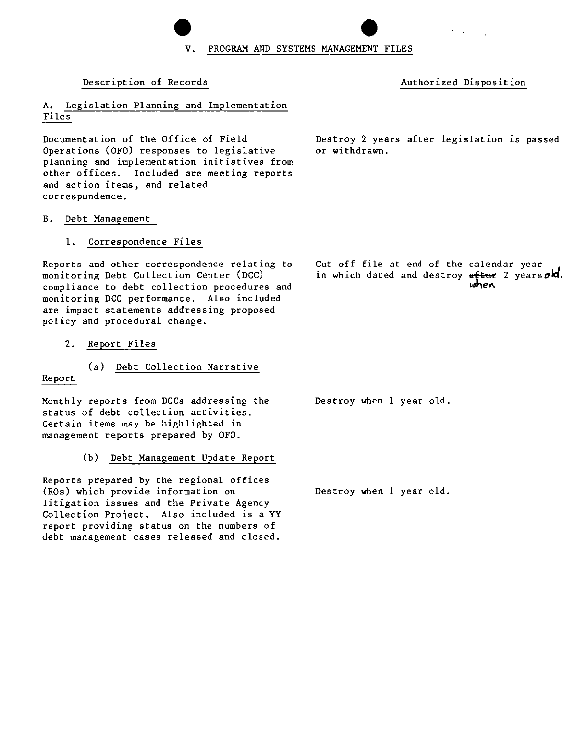V. PROGRAM AND SYSTEMS MANAGEMEN  $\bullet$ <br>ENT FILES

or withdrawn.

**Description of Records Authorized Disposition**

A. Legislation Planning and Implementation Files

Documentation of the Office of Field Operations (OFO) responses to legislative **planning and implementation initiatives from** other offices. Included are meeting reports **and action items, and related correspondence.**

## B. Debt Management

1. Correspondence Files

Reports and other correspondence relating to monitoring Debt Collection Center (DCC) compliance to debt collection procedures and monitoring DCC performance. Also included **are impact statements addressing proposed** policy and procedural change.

2. Report Files

Report

(a) Debt Collection Narrative

Monthly reports from DCCs addressing the status of debt collection activities. Certain items may be highlighted in management reports prepared by OFO.

(b) Debt Management Update Report

Reports prepared by the regional offices (ROs) which provide information on **litigation issues and the Private Agency** Collection Project. Also included is a YY **report providing status on the numbers of debt management cases released and closed.**

Destroy 2 years after legislation is passed

Cut off file at end of the calendar year in which dated and destroy after 2 years old. *",",el\*

Destroy when 1 year old.

Destroy when 1 year old.

 $\bullet$ <br> $\bullet$ <br> $\bullet$